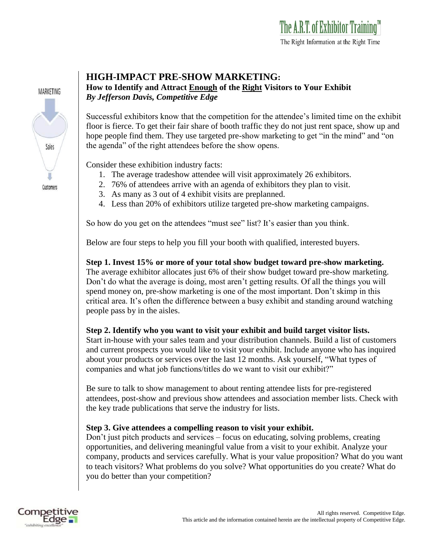

## **HIGH-IMPACT PRE-SHOW MARKETING:**

**How to Identify and Attract Enough of the Right Visitors to Your Exhibit** *By Jefferson Davis, Competitive Edge*

Successful exhibitors know that the competition for the attendee's limited time on the exhibit floor is fierce. To get their fair share of booth traffic they do not just rent space, show up and hope people find them. They use targeted pre-show marketing to get "in the mind" and "on the agenda" of the right attendees before the show opens.

Consider these exhibition industry facts:

- 1. The average tradeshow attendee will visit approximately 26 exhibitors.
- 2. 76% of attendees arrive with an agenda of exhibitors they plan to visit.
- 3. As many as 3 out of 4 exhibit visits are preplanned.
- 4. Less than 20% of exhibitors utilize targeted pre-show marketing campaigns.

So how do you get on the attendees "must see" list? It's easier than you think.

Below are four steps to help you fill your booth with qualified, interested buyers.

**Step 1. Invest 15% or more of your total show budget toward pre-show marketing.** The average exhibitor allocates just 6% of their show budget toward pre-show marketing. Don't do what the average is doing, most aren't getting results. Of all the things you will spend money on, pre-show marketing is one of the most important. Don't skimp in this critical area. It's often the difference between a busy exhibit and standing around watching people pass by in the aisles.

## **Step 2. Identify who you want to visit your exhibit and build target visitor lists.**

Start in-house with your sales team and your distribution channels. Build a list of customers and current prospects you would like to visit your exhibit. Include anyone who has inquired about your products or services over the last 12 months. Ask yourself, "What types of companies and what job functions/titles do we want to visit our exhibit?"

Be sure to talk to show management to about renting attendee lists for pre-registered attendees, post-show and previous show attendees and association member lists. Check with the key trade publications that serve the industry for lists.

## **Step 3. Give attendees a compelling reason to visit your exhibit.**

Don't just pitch products and services – focus on educating, solving problems, creating opportunities, and delivering meaningful value from a visit to your exhibit. Analyze your company, products and services carefully. What is your value proposition? What do you want to teach visitors? What problems do you solve? What opportunities do you create? What do you do better than your competition?